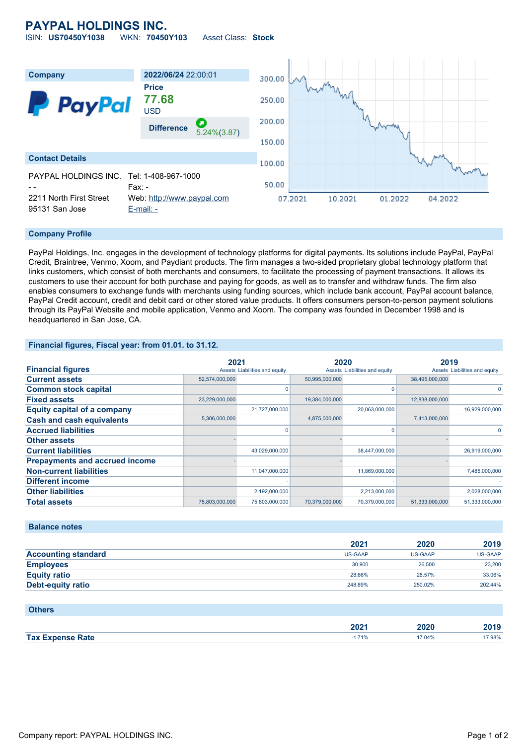# **PAYPAL HOLDINGS INC.**

ISIN: **US70450Y1038** WKN: **70450Y103** Asset Class: **Stock**



#### **Company Profile**

PayPal Holdings, Inc. engages in the development of technology platforms for digital payments. Its solutions include PayPal, PayPal Credit, Braintree, Venmo, Xoom, and Paydiant products. The firm manages a two-sided proprietary global technology platform that links customers, which consist of both merchants and consumers, to facilitate the processing of payment transactions. It allows its customers to use their account for both purchase and paying for goods, as well as to transfer and withdraw funds. The firm also enables consumers to exchange funds with merchants using funding sources, which include bank account, PayPal account balance, PayPal Credit account, credit and debit card or other stored value products. It offers consumers person-to-person payment solutions through its PayPal Website and mobile application, Venmo and Xoom. The company was founded in December 1998 and is headquartered in San Jose, CA.

### **Financial figures, Fiscal year: from 01.01. to 31.12.**

|                                       | 2021           |                               | 2020           |                               | 2019           |                               |
|---------------------------------------|----------------|-------------------------------|----------------|-------------------------------|----------------|-------------------------------|
| <b>Financial figures</b>              |                | Assets Liabilities and equity |                | Assets Liabilities and equity |                | Assets Liabilities and equity |
| <b>Current assets</b>                 | 52,574,000,000 |                               | 50,995,000,000 |                               | 38,495,000,000 |                               |
| <b>Common stock capital</b>           |                |                               |                |                               |                |                               |
| <b>Fixed assets</b>                   | 23,229,000,000 |                               | 19,384,000,000 |                               | 12,838,000,000 |                               |
| <b>Equity capital of a company</b>    |                | 21,727,000,000                |                | 20,063,000,000                |                | 16,929,000,000                |
| <b>Cash and cash equivalents</b>      | 5,306,000,000  |                               | 4,875,000,000  |                               | 7,413,000,000  |                               |
| <b>Accrued liabilities</b>            |                |                               |                |                               |                |                               |
| <b>Other assets</b>                   |                |                               |                |                               |                |                               |
| <b>Current liabilities</b>            |                | 43,029,000,000                |                | 38,447,000,000                |                | 26,919,000,000                |
| <b>Prepayments and accrued income</b> |                |                               |                |                               |                |                               |
| <b>Non-current liabilities</b>        |                | 11,047,000,000                |                | 11,869,000,000                |                | 7,485,000,000                 |
| <b>Different income</b>               |                |                               |                |                               |                |                               |
| <b>Other liabilities</b>              |                | 2,192,000,000                 |                | 2,213,000,000                 |                | 2,028,000,000                 |
| <b>Total assets</b>                   | 75,803,000,000 | 75,803,000,000                | 70,379,000,000 | 70,379,000,000                | 51,333,000,000 | 51,333,000,000                |

#### **Balance notes**

|                            | 2021           | 2020           | 2019    |
|----------------------------|----------------|----------------|---------|
| <b>Accounting standard</b> | <b>US-GAAP</b> | <b>US-GAAP</b> | US-GAAP |
| <b>Employees</b>           | 30,900         | 26,500         | 23,200  |
| <b>Equity ratio</b>        | 28.66%         | 28.57%         | 33.06%  |
| Debt-equity ratio          | 248.89%        | 250.02%        | 202.44% |

#### **Others**

|                                   | 202<br>_____ | חרחר<br>2020 | 2019  |
|-----------------------------------|--------------|--------------|-------|
| <b>Tax</b><br><b>Expense Rate</b> | 741<br>.     | $'7.04\%$    | 7.98% |